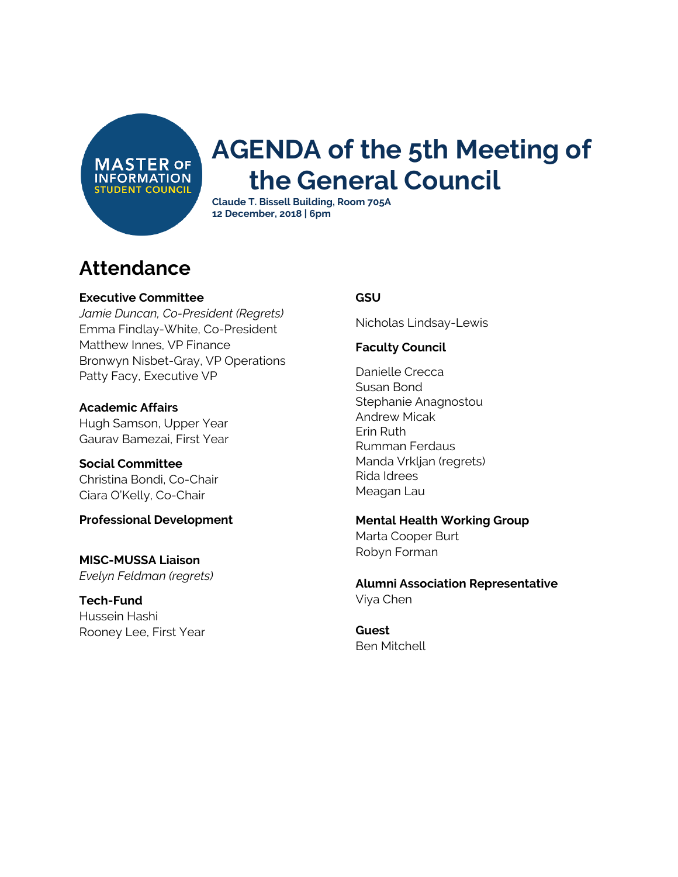**MASTER OF INFORMATION STUDENT COUNCIL** 

# **AGENDA of the 5th Meeting of the General Council**

**Claude T. Bissell Building, Room 705A 12 December, 2018 | 6pm**

### **Attendance**

#### **Executive Committee**

*Jamie Duncan, Co-President (Regrets)* Emma Findlay-White, Co-President Matthew Innes, VP Finance Bronwyn Nisbet-Gray, VP Operations Patty Facy, Executive VP

**Academic Affairs** Hugh Samson, Upper Year Gaurav Bamezai, First Year

**Social Committee** Christina Bondi, Co-Chair

Ciara O'Kelly, Co-Chair

**Professional Development**

**MISC-MUSSA Liaison** *Evelyn Feldman (regrets)*

**Tech-Fund** Hussein Hashi Rooney Lee, First Year

#### **GSU**

Nicholas Lindsay-Lewis

#### **Faculty Council**

Danielle Crecca Susan Bond Stephanie Anagnostou Andrew Micak Erin Ruth Rumman Ferdaus Manda Vrkljan (regrets) Rida Idrees Meagan Lau

**Mental Health Working Group** Marta Cooper Burt Robyn Forman

**Alumni Association Representative** Viya Chen

**Guest** Ben Mitchell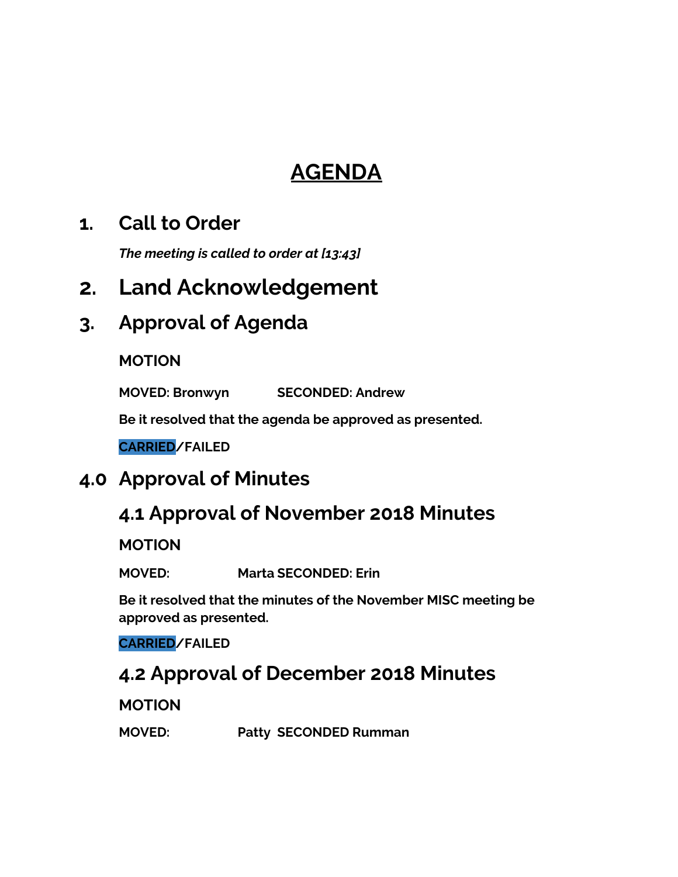# **AGENDA**

### **1. Call to Order**

*The meeting is called to order at [13:43]*

### **2. Land Acknowledgement**

### **3. Approval of Agenda**

#### **MOTION**

**MOVED: Bronwyn SECONDED: Andrew**

**Be it resolved that the agenda be approved as presented.**

**CARRIED/FAILED**

### **4.0 Approval of Minutes**

### **4.1 Approval of November 2018 Minutes**

**MOTION**

**MOVED: Marta SECONDED: Erin**

**Be it resolved that the minutes of the November MISC meeting be approved as presented.**

**CARRIED/FAILED**

### **4.2 Approval of December 2018 Minutes**

#### **MOTION**

**MOVED: Patty SECONDED Rumman**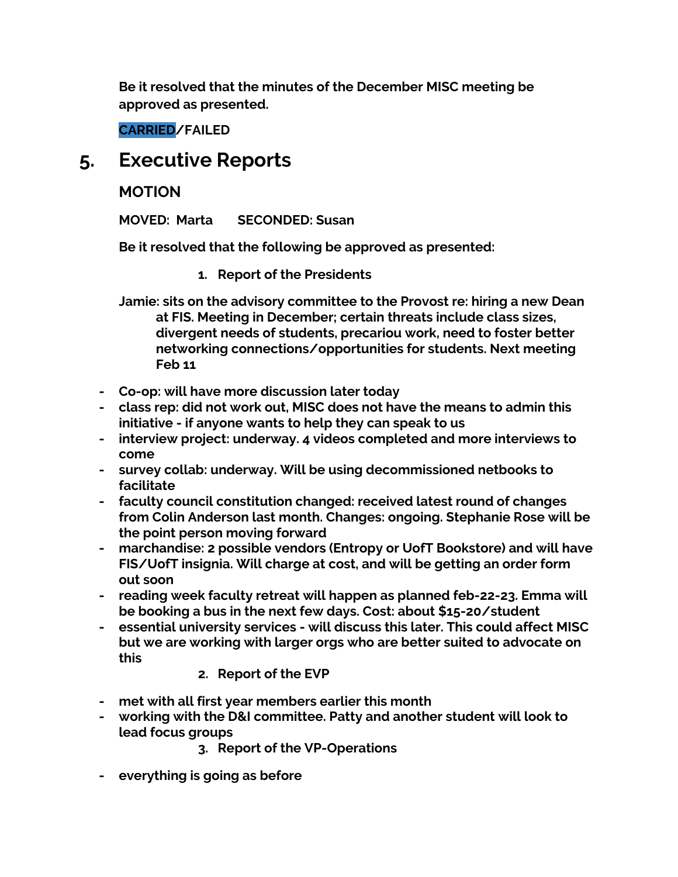**Be it resolved that the minutes of the December MISC meeting be approved as presented.**

**CARRIED/FAILED**

### **5. Executive Reports**

#### **MOTION**

**MOVED: Marta SECONDED: Susan**

**Be it resolved that the following be approved as presented:**

**1. Report of the Presidents**

**Jamie: sits on the advisory committee to the Provost re: hiring a new Dean at FIS. Meeting in December; certain threats include class sizes, divergent needs of students, precariou work, need to foster better networking connections/opportunities for students. Next meeting Feb 11**

- **- Co-op: will have more discussion later today**
- **- class rep: did not work out, MISC does not have the means to admin this initiative - if anyone wants to help they can speak to us**
- **- interview project: underway. 4 videos completed and more interviews to come**
- **- survey collab: underway. Will be using decommissioned netbooks to facilitate**
- **- faculty council constitution changed: received latest round of changes from Colin Anderson last month. Changes: ongoing. Stephanie Rose will be the point person moving forward**
- **- marchandise: 2 possible vendors (Entropy or UofT Bookstore) and will have FIS/UofT insignia. Will charge at cost, and will be getting an order form out soon**
- **- reading week faculty retreat will happen as planned feb-22-23. Emma will be booking a bus in the next few days. Cost: about \$15-20/student**
- **- essential university services - will discuss this later. This could affect MISC but we are working with larger orgs who are better suited to advocate on this**
	- **2. Report of the EVP**
- **- met with all first year members earlier this month**
- **- working with the D&I committee. Patty and another student will look to lead focus groups**
	- **3. Report of the VP-Operations**
- **- everything is going as before**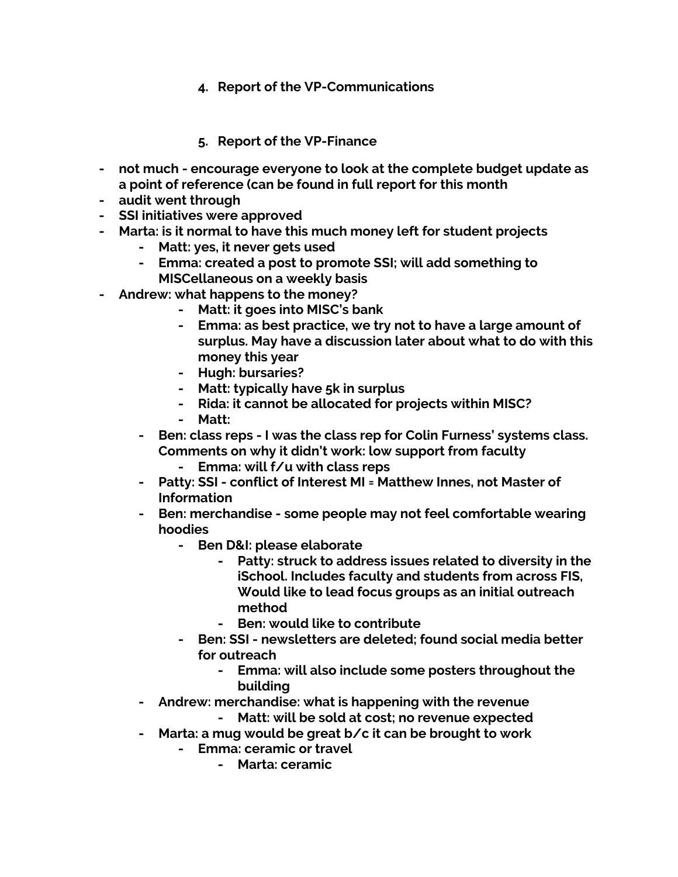- **4. Report of the VP-Communications**
- **5. Report of the VP-Finance**
- **- not much - encourage everyone to look at the complete budget update as a point of reference (can be found in full report for this month**
- **- audit went through**
- **- SSI initiatives were approved**
- **- Marta: is it normal to have this much money left for student projects**
	- **- Matt: yes, it never gets used**
	- **- Emma: created a post to promote SSI; will add something to MISCellaneous on a weekly basis**
- **- Andrew: what happens to the money?**
	- **- Matt: it goes into MISC's bank**
	- **- Emma: as best practice, we try not to have a large amount of surplus. May have a discussion later about what to do with this money this year**
	- **- Hugh: bursaries?**
	- **- Matt: typically have 5k in surplus**
	- **- Rida: it cannot be allocated for projects within MISC?**
	- **- Matt:**
	- **- Ben: class reps - I was the class rep for Colin Furness' systems class. Comments on why it didn't work: low support from faculty**
		- **- Emma: will f/u with class reps**
	- **- Patty: SSI - conflict of Interest MI = Matthew Innes, not Master of Information**
	- **- Ben: merchandise - some people may not feel comfortable wearing hoodies**
		- **- Ben D&I: please elaborate**
			- **- Patty: struck to address issues related to diversity in the iSchool. Includes faculty and students from across FIS, Would like to lead focus groups as an initial outreach method**
			- **- Ben: would like to contribute**
		- **- Ben: SSI - newsletters are deleted; found social media better for outreach**
			- **- Emma: will also include some posters throughout the building**
	- **- Andrew: merchandise: what is happening with the revenue**
		- **- Matt: will be sold at cost; no revenue expected**
	- **- Marta: a mug would be great b/c it can be brought to work**
		- **- Emma: ceramic or travel**
			- **- Marta: ceramic**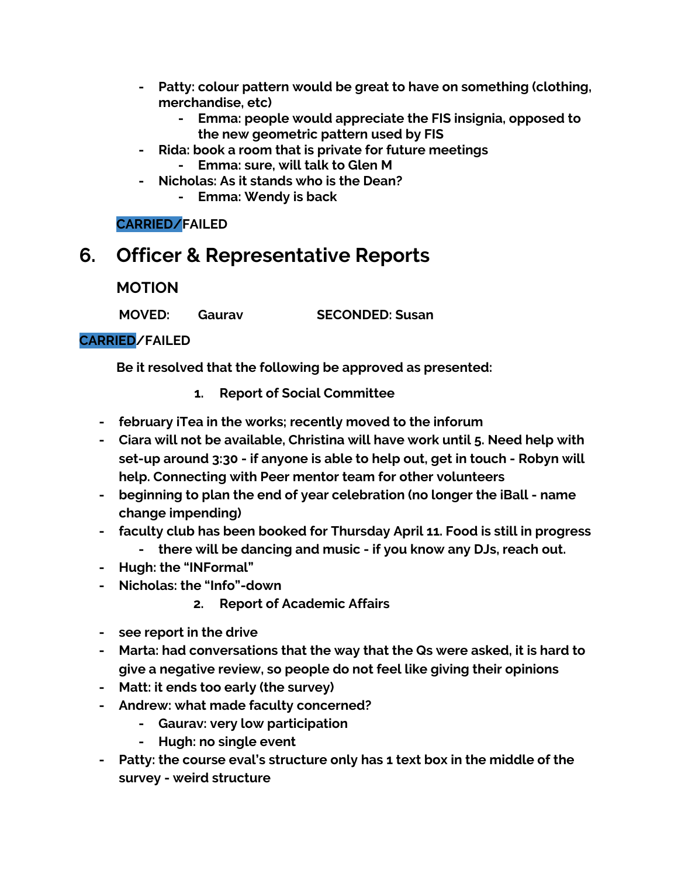- **- Patty: colour pattern would be great to have on something (clothing, merchandise, etc)**
	- **- Emma: people would appreciate the FIS insignia, opposed to the new geometric pattern used by FIS**
- **- Rida: book a room that is private for future meetings - Emma: sure, will talk to Glen M**
- **- Nicholas: As it stands who is the Dean? - Emma: Wendy is back**

**CARRIED/FAILED**

### **6. Officer & Representative Reports**

**MOTION**

**MOVED: Gaurav SECONDED: Susan**

#### **CARRIED/FAILED**

**Be it resolved that the following be approved as presented:**

- **1. Report of Social Committee**
- **- february iTea in the works; recently moved to the inforum**
- **- Ciara will not be available, Christina will have work until 5. Need help with set-up around 3:30 - if anyone is able to help out, get in touch - Robyn will help. Connecting with Peer mentor team for other volunteers**
- **- beginning to plan the end of year celebration (no longer the iBall - name change impending)**
- **- faculty club has been booked for Thursday April 11. Food is still in progress**
	- **- there will be dancing and music - if you know any DJs, reach out.**
- **- Hugh: the "INFormal"**
- **- Nicholas: the "Info"-down**
	- **2. Report of Academic Affairs**
- **- see report in the drive**
- **- Marta: had conversations that the way that the Qs were asked, it is hard to give a negative review, so people do not feel like giving their opinions**
- **- Matt: it ends too early (the survey)**
- **- Andrew: what made faculty concerned?**
	- **- Gaurav: very low participation**
	- **- Hugh: no single event**
- **- Patty: the course eval's structure only has 1 text box in the middle of the survey - weird structure**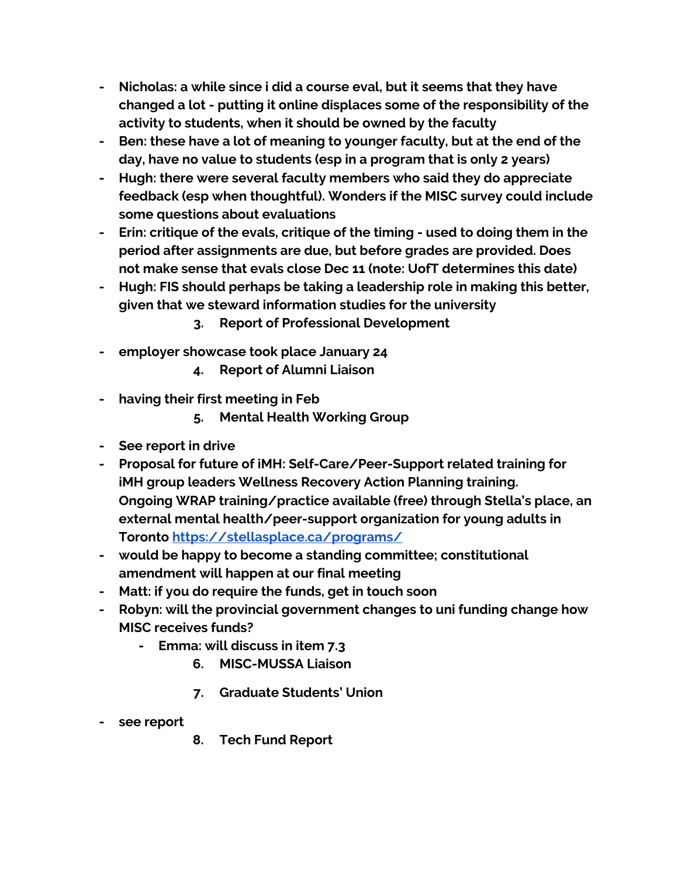- **- Nicholas: a while since i did a course eval, but it seems that they have changed a lot - putting it online displaces some of the responsibility of the activity to students, when it should be owned by the faculty**
- **- Ben: these have a lot of meaning to younger faculty, but at the end of the day, have no value to students (esp in a program that is only 2 years)**
- **- Hugh: there were several faculty members who said they do appreciate feedback (esp when thoughtful). Wonders if the MISC survey could include some questions about evaluations**
- **- Erin: critique of the evals, critique of the timing - used to doing them in the period after assignments are due, but before grades are provided. Does not make sense that evals close Dec 11 (note: UofT determines this date)**
- **- Hugh: FIS should perhaps be taking a leadership role in making this better, given that we steward information studies for the university**
	- **3. Report of Professional Development**
- **- employer showcase took place January 24**
	- **4. Report of Alumni Liaison**
- **- having their first meeting in Feb**
	- **5. Mental Health Working Group**
- **- See report in drive**
- **- Proposal for future of iMH: Self-Care/Peer-Support related training for iMH group leaders Wellness Recovery Action Planning training. Ongoing WRAP training/practice available (free) through Stella's place, an external mental health/peer-support organization for young adults in Toronto <https://stellasplace.ca/programs/>**
- **- would be happy to become a standing committee; constitutional amendment will happen at our final meeting**
- **- Matt: if you do require the funds, get in touch soon**
- **- Robyn: will the provincial government changes to uni funding change how MISC receives funds?**
	- **- Emma: will discuss in item 7.3**
		- **6. MISC-MUSSA Liaison**
		- **7. Graduate Students' Union**
- **- see report**
- **8. Tech Fund Report**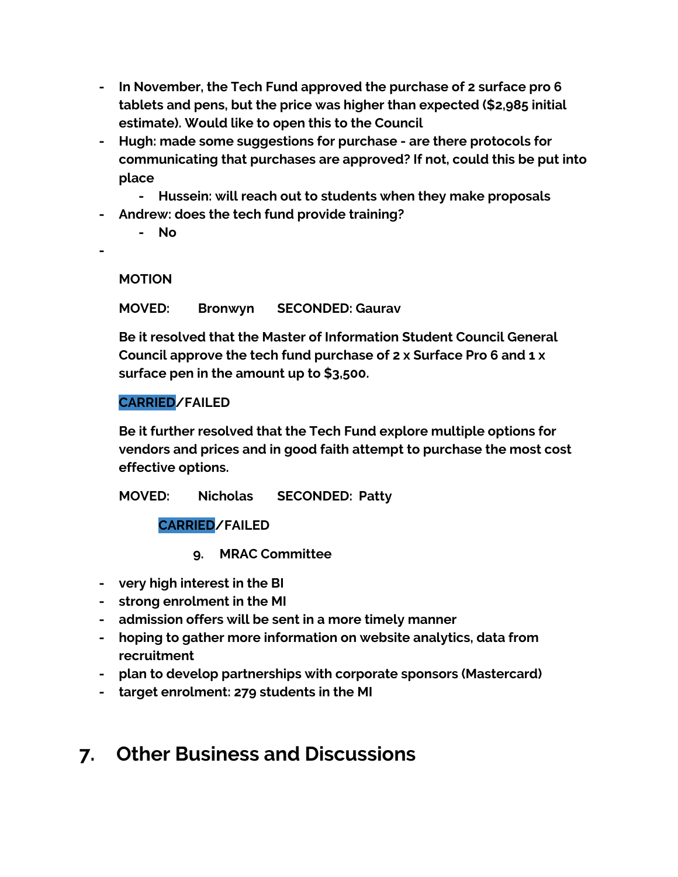- **- In November, the Tech Fund approved the purchase of 2 surface pro 6 tablets and pens, but the price was higher than expected (\$2,985 initial estimate). Would like to open this to the Council**
- **- Hugh: made some suggestions for purchase - are there protocols for communicating that purchases are approved? If not, could this be put into place**
	- **- Hussein: will reach out to students when they make proposals**
- **- Andrew: does the tech fund provide training?**
	- **- No**
- **-**

**MOTION**

**MOVED: Bronwyn SECONDED: Gaurav**

**Be it resolved that the Master of Information Student Council General Council approve the tech fund purchase of 2 x Surface Pro 6 and 1 x surface pen in the amount up to \$3,500.**

#### **CARRIED/FAILED**

**Be it further resolved that the Tech Fund explore multiple options for vendors and prices and in good faith attempt to purchase the most cost effective options.**

**MOVED: Nicholas SECONDED: Patty**

**CARRIED/FAILED**

- **9. MRAC Committee**
- **- very high interest in the BI**
- **- strong enrolment in the MI**
- **- admission offers will be sent in a more timely manner**
- **- hoping to gather more information on website analytics, data from recruitment**
- **- plan to develop partnerships with corporate sponsors (Mastercard)**
- **- target enrolment: 279 students in the MI**

### **7. Other Business and Discussions**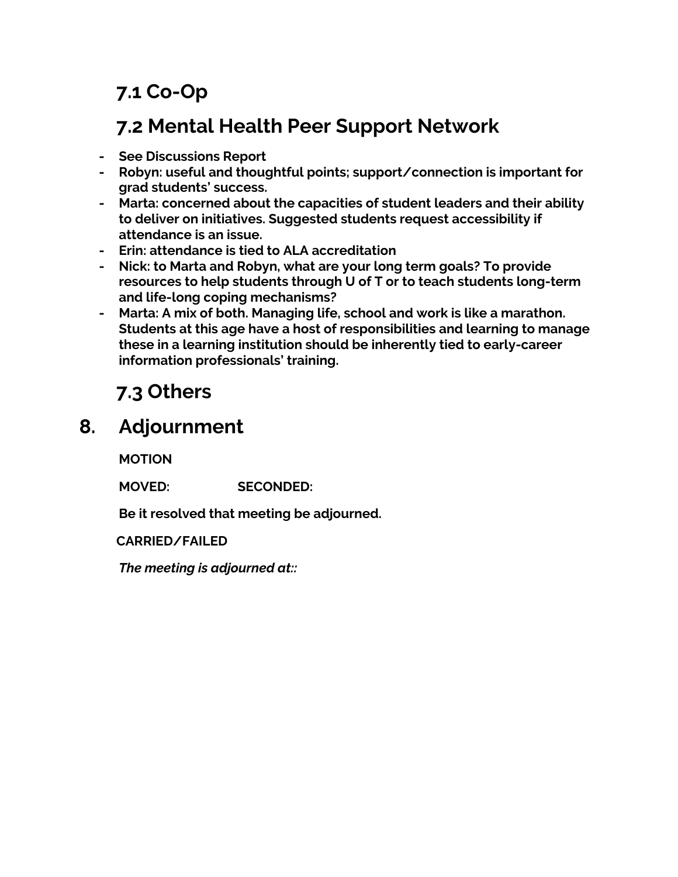## **7.1 Co-Op**

### **7.2 Mental Health Peer Support Network**

- **- See Discussions Report**
- **- Robyn: useful and thoughtful points; support/connection is important for grad students' success.**
- **- Marta: concerned about the capacities of student leaders and their ability to deliver on initiatives. Suggested students request accessibility if attendance is an issue.**
- **- Erin: attendance is tied to ALA accreditation**
- **- Nick: to Marta and Robyn, what are your long term goals? To provide resources to help students through U of T or to teach students long-term and life-long coping mechanisms?**
- **- Marta: A mix of both. Managing life, school and work is like a marathon. Students at this age have a host of responsibilities and learning to manage these in a learning institution should be inherently tied to early-career information professionals' training.**

## **7.3 Others**

### **8. Adjournment**

**MOTION**

**MOVED: SECONDED:**

**Be it resolved that meeting be adjourned.**

**CARRIED/FAILED**

*The meeting is adjourned at::*